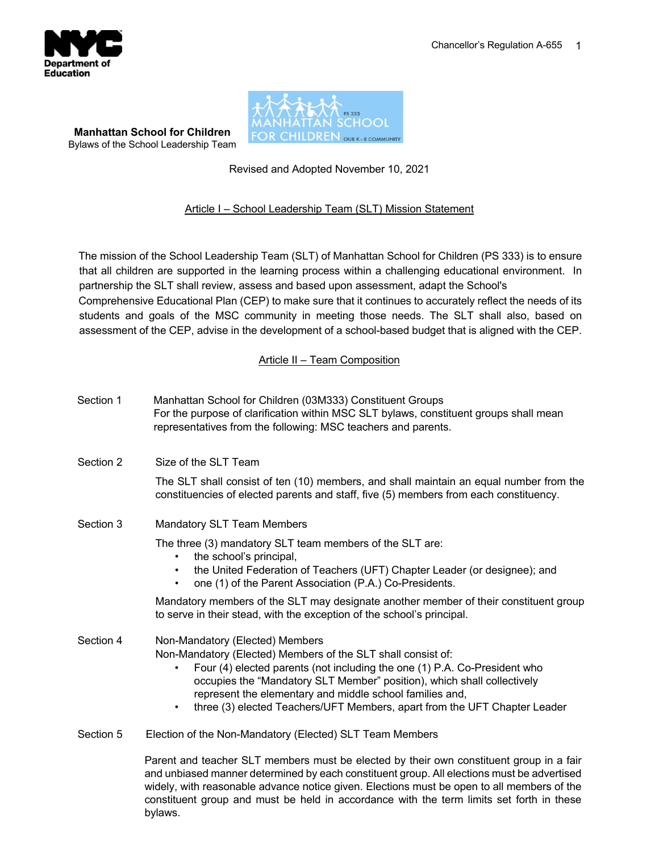

**Manhattan School for Children** Bylaws of the School Leadership Team



# Revised and Adopted November 10, 2021

## Article I – School Leadership Team (SLT) Mission Statement

The mission of the School Leadership Team (SLT) of Manhattan School for Children (PS 333) is to ensure that all children are supported in the learning process within a challenging educational environment. In partnership the SLT shall review, assess and based upon assessment, adapt the School's Comprehensive Educational Plan (CEP) to make sure that it continues to accurately reflect the needs of its students and goals of the MSC community in meeting those needs. The SLT shall also, based on assessment of the CEP, advise in the development of a school-based budget that is aligned with the CEP.

Article II – Team Composition

| Section 1 | Manhattan School for Children (03M333) Constituent Groups<br>For the purpose of clarification within MSC SLT bylaws, constituent groups shall mean<br>representatives from the following: MSC teachers and parents.                                                                                                                                                                                                        |  |  |
|-----------|----------------------------------------------------------------------------------------------------------------------------------------------------------------------------------------------------------------------------------------------------------------------------------------------------------------------------------------------------------------------------------------------------------------------------|--|--|
| Section 2 | Size of the SLT Team                                                                                                                                                                                                                                                                                                                                                                                                       |  |  |
|           | The SLT shall consist of ten (10) members, and shall maintain an equal number from the<br>constituencies of elected parents and staff, five (5) members from each constituency.                                                                                                                                                                                                                                            |  |  |
| Section 3 | <b>Mandatory SLT Team Members</b>                                                                                                                                                                                                                                                                                                                                                                                          |  |  |
|           | The three (3) mandatory SLT team members of the SLT are:<br>the school's principal,<br>$\bullet$<br>the United Federation of Teachers (UFT) Chapter Leader (or designee); and<br>one (1) of the Parent Association (P.A.) Co-Presidents.                                                                                                                                                                                   |  |  |
|           | Mandatory members of the SLT may designate another member of their constituent group<br>to serve in their stead, with the exception of the school's principal.                                                                                                                                                                                                                                                             |  |  |
| Section 4 | Non-Mandatory (Elected) Members<br>Non-Mandatory (Elected) Members of the SLT shall consist of:<br>Four (4) elected parents (not including the one (1) P.A. Co-President who<br>$\bullet$<br>occupies the "Mandatory SLT Member" position), which shall collectively<br>represent the elementary and middle school families and,<br>three (3) elected Teachers/UFT Members, apart from the UFT Chapter Leader<br>$\bullet$ |  |  |
| Section 5 | Election of the Non-Mandatory (Elected) SLT Team Members                                                                                                                                                                                                                                                                                                                                                                   |  |  |
|           | Parent and teacher SLT members must be elected by their own constituent group in a fair<br>and unbiased manner determined by each constituent group. All elections must be advertised                                                                                                                                                                                                                                      |  |  |

 $\mu$  manner determined by each constituent group. All elections must be advertised widely, with reasonable advance notice given. Elections must be open to all members of the constituent group and must be held in accordance with the term limits set forth in these bylaws.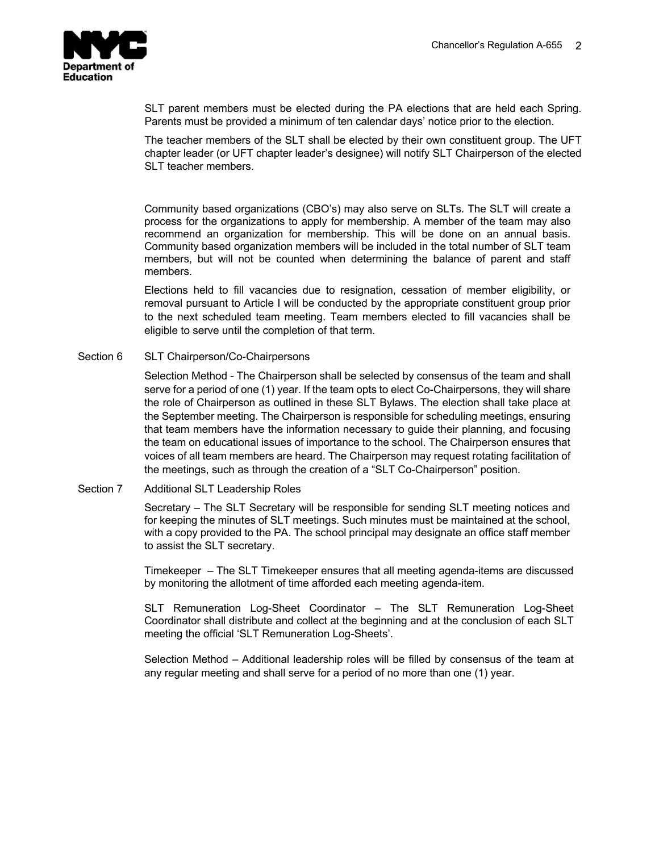

SLT parent members must be elected during the PA elections that are held each Spring. Parents must be provided a minimum of ten calendar days' notice prior to the election.

The teacher members of the SLT shall be elected by their own constituent group. The UFT chapter leader (or UFT chapter leader's designee) will notify SLT Chairperson of the elected SLT teacher members.

Community based organizations (CBO's) may also serve on SLTs. The SLT will create a process for the organizations to apply for membership. A member of the team may also recommend an organization for membership. This will be done on an annual basis. Community based organization members will be included in the total number of SLT team members, but will not be counted when determining the balance of parent and staff members.

Elections held to fill vacancies due to resignation, cessation of member eligibility, or removal pursuant to Article I will be conducted by the appropriate constituent group prior to the next scheduled team meeting. Team members elected to fill vacancies shall be eligible to serve until the completion of that term.

### Section 6 SLT Chairperson/Co-Chairpersons

Selection Method - The Chairperson shall be selected by consensus of the team and shall serve for a period of one (1) year. If the team opts to elect Co-Chairpersons, they will share the role of Chairperson as outlined in these SLT Bylaws. The election shall take place at the September meeting. The Chairperson is responsible for scheduling meetings, ensuring that team members have the information necessary to guide their planning, and focusing the team on educational issues of importance to the school. The Chairperson ensures that voices of all team members are heard. The Chairperson may request rotating facilitation of the meetings, such as through the creation of a "SLT Co-Chairperson" position.

### Section 7 Additional SLT Leadership Roles

Secretary – The SLT Secretary will be responsible for sending SLT meeting notices and for keeping the minutes of SLT meetings. Such minutes must be maintained at the school, with a copy provided to the PA. The school principal may designate an office staff member to assist the SLT secretary.

Timekeeper – The SLT Timekeeper ensures that all meeting agenda-items are discussed by monitoring the allotment of time afforded each meeting agenda-item.

SLT Remuneration Log-Sheet Coordinator – The SLT Remuneration Log-Sheet Coordinator shall distribute and collect at the beginning and at the conclusion of each SLT meeting the official 'SLT Remuneration Log-Sheets'.

Selection Method – Additional leadership roles will be filled by consensus of the team at any regular meeting and shall serve for a period of no more than one (1) year.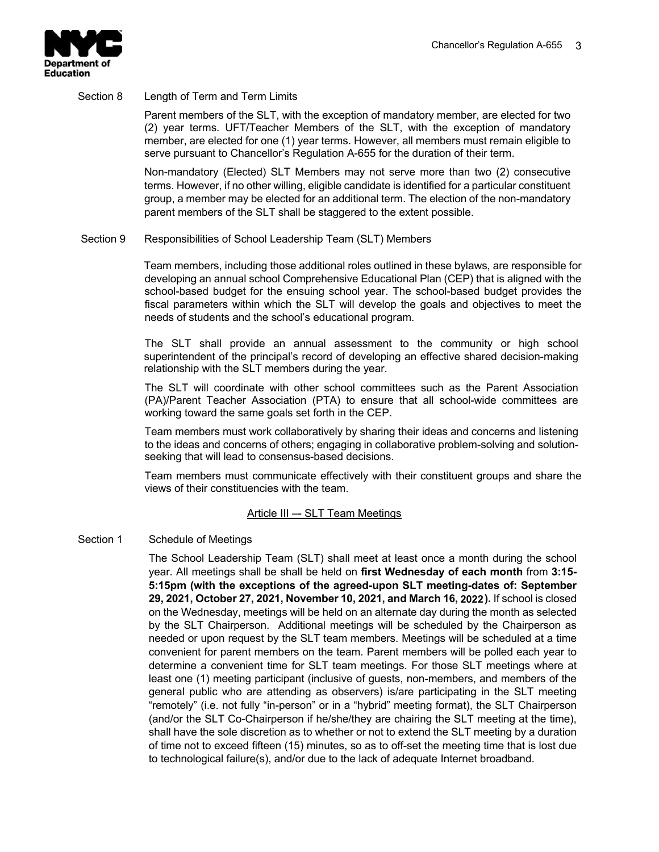

#### Section 8 Length of Term and Term Limits

Parent members of the SLT, with the exception of mandatory member, are elected for two (2) year terms. UFT/Teacher Members of the SLT, with the exception of mandatory member, are elected for one (1) year terms. However, all members must remain eligible to serve pursuant to Chancellor's Regulation A-655 for the duration of their term.

Non-mandatory (Elected) SLT Members may not serve more than two (2) consecutive terms. However, if no other willing, eligible candidate is identified for a particular constituent group, a member may be elected for an additional term. The election of the non-mandatory parent members of the SLT shall be staggered to the extent possible.

### Section 9 Responsibilities of School Leadership Team (SLT) Members

Team members, including those additional roles outlined in these bylaws, are responsible for developing an annual school Comprehensive Educational Plan (CEP) that is aligned with the school-based budget for the ensuing school year. The school-based budget provides the fiscal parameters within which the SLT will develop the goals and objectives to meet the needs of students and the school's educational program.

The SLT shall provide an annual assessment to the community or high school superintendent of the principal's record of developing an effective shared decision-making relationship with the SLT members during the year.

The SLT will coordinate with other school committees such as the Parent Association (PA)/Parent Teacher Association (PTA) to ensure that all school-wide committees are working toward the same goals set forth in the CEP.

Team members must work collaboratively by sharing their ideas and concerns and listening to the ideas and concerns of others; engaging in collaborative problem-solving and solutionseeking that will lead to consensus-based decisions.

Team members must communicate effectively with their constituent groups and share the views of their constituencies with the team.

### Article III –- SLT Team Meetings

### Section 1 Schedule of Meetings

The School Leadership Team (SLT) shall meet at least once a month during the school year. All meetings shall be shall be held on **first Wednesday of each month** from **3:15- 5:15pm (with the exceptions of the agreed-upon SLT meeting-dates of: September 29, 2021, October 27, 2021, November 10, 2021, and March 16, 2021).** If school is closed **2022**on the Wednesday, meetings will be held on an alternate day during the month as selected by the SLT Chairperson. Additional meetings will be scheduled by the Chairperson as needed or upon request by the SLT team members. Meetings will be scheduled at a time convenient for parent members on the team. Parent members will be polled each year to determine a convenient time for SLT team meetings. For those SLT meetings where at least one (1) meeting participant (inclusive of guests, non-members, and members of the general public who are attending as observers) is/are participating in the SLT meeting "remotely" (i.e. not fully "in-person" or in a "hybrid" meeting format), the SLT Chairperson (and/or the SLT Co-Chairperson if he/she/they are chairing the SLT meeting at the time), shall have the sole discretion as to whether or not to extend the SLT meeting by a duration of time not to exceed fifteen (15) minutes, so as to off-set the meeting time that is lost due to technological failure(s), and/or due to the lack of adequate Internet broadband.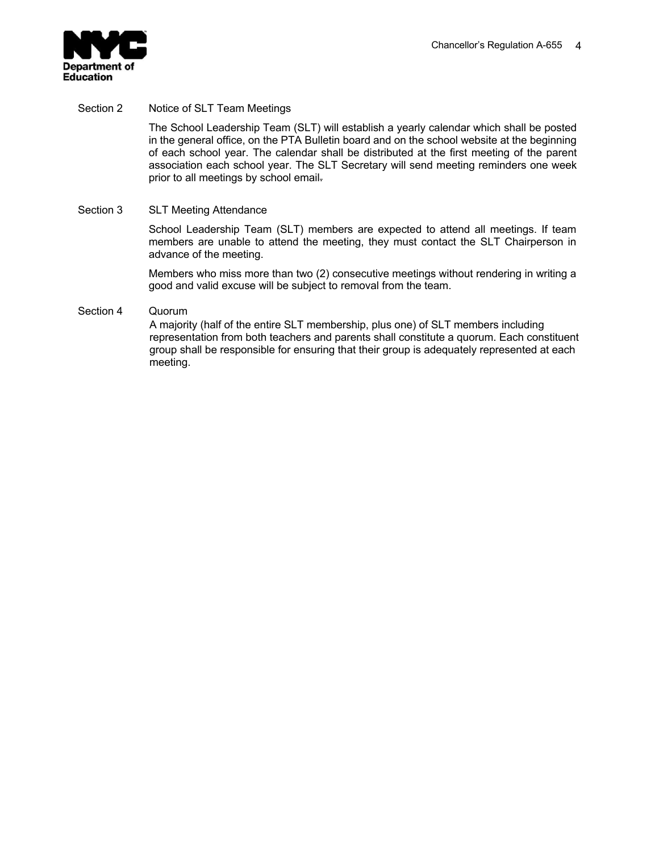

Section 2 Notice of SLT Team Meetings

The School Leadership Team (SLT) will establish a yearly calendar which shall be posted in the general office, on the PTA Bulletin board and on the school website at the beginning of each school year. The calendar shall be distributed at the first meeting of the parent association each school year. The SLT Secretary will send meeting reminders one week prior to all meetings by school email.

### Section 3 SLT Meeting Attendance

School Leadership Team (SLT) members are expected to attend all meetings. If team members are unable to attend the meeting, they must contact the SLT Chairperson in advance of the meeting.

Members who miss more than two (2) consecutive meetings without rendering in writing a good and valid excuse will be subject to removal from the team.

### Section 4 Quorum

A majority (half of the entire SLT membership, plus one) of SLT members including representation from both teachers and parents shall constitute a quorum. Each constituent group shall be responsible for ensuring that their group is adequately represented at each meeting.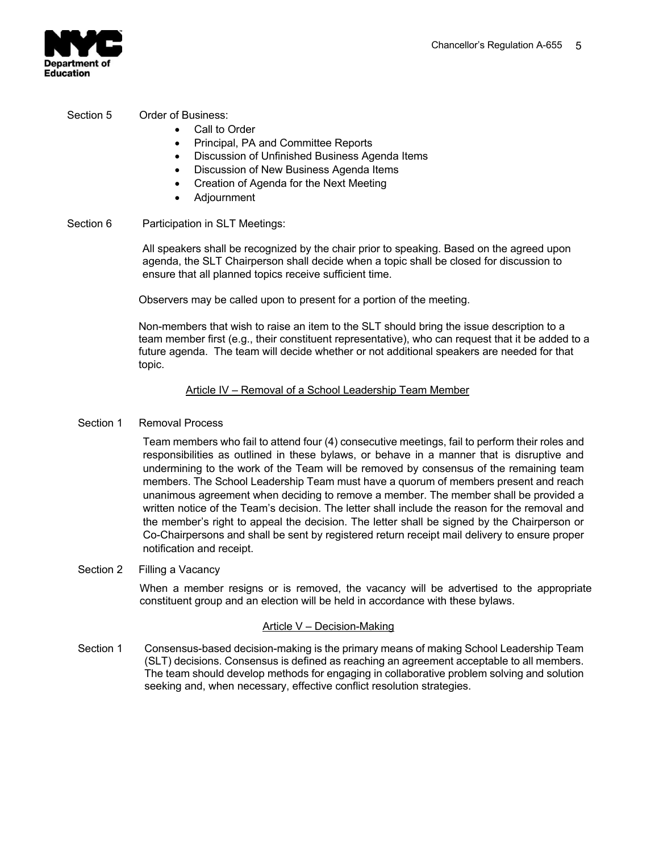

## Section 5 Order of Business:

- Call to Order
- Principal, PA and Committee Reports
- Discussion of Unfinished Business Agenda Items
- Discussion of New Business Agenda Items
- Creation of Agenda for the Next Meeting
- Adjournment
- Section 6 Participation in SLT Meetings:

All speakers shall be recognized by the chair prior to speaking. Based on the agreed upon agenda, the SLT Chairperson shall decide when a topic shall be closed for discussion to ensure that all planned topics receive sufficient time.

Observers may be called upon to present for a portion of the meeting.

Non-members that wish to raise an item to the SLT should bring the issue description to a team member first (e.g., their constituent representative), who can request that it be added to a future agenda. The team will decide whether or not additional speakers are needed for that topic.

## Article IV – Removal of a School Leadership Team Member

## Section 1 Removal Process

Team members who fail to attend four (4) consecutive meetings, fail to perform their roles and responsibilities as outlined in these bylaws, or behave in a manner that is disruptive and undermining to the work of the Team will be removed by consensus of the remaining team members. The School Leadership Team must have a quorum of members present and reach unanimous agreement when deciding to remove a member. The member shall be provided a written notice of the Team's decision. The letter shall include the reason for the removal and the member's right to appeal the decision. The letter shall be signed by the Chairperson or Co-Chairpersons and shall be sent by registered return receipt mail delivery to ensure proper notification and receipt.

## Section 2 Filling a Vacancy

When a member resigns or is removed, the vacancy will be advertised to the appropriate constituent group and an election will be held in accordance with these bylaws.

### Article V – Decision-Making

Section 1 Consensus-based decision-making is the primary means of making School Leadership Team (SLT) decisions. Consensus is defined as reaching an agreement acceptable to all members. The team should develop methods for engaging in collaborative problem solving and solution seeking and, when necessary, effective conflict resolution strategies.